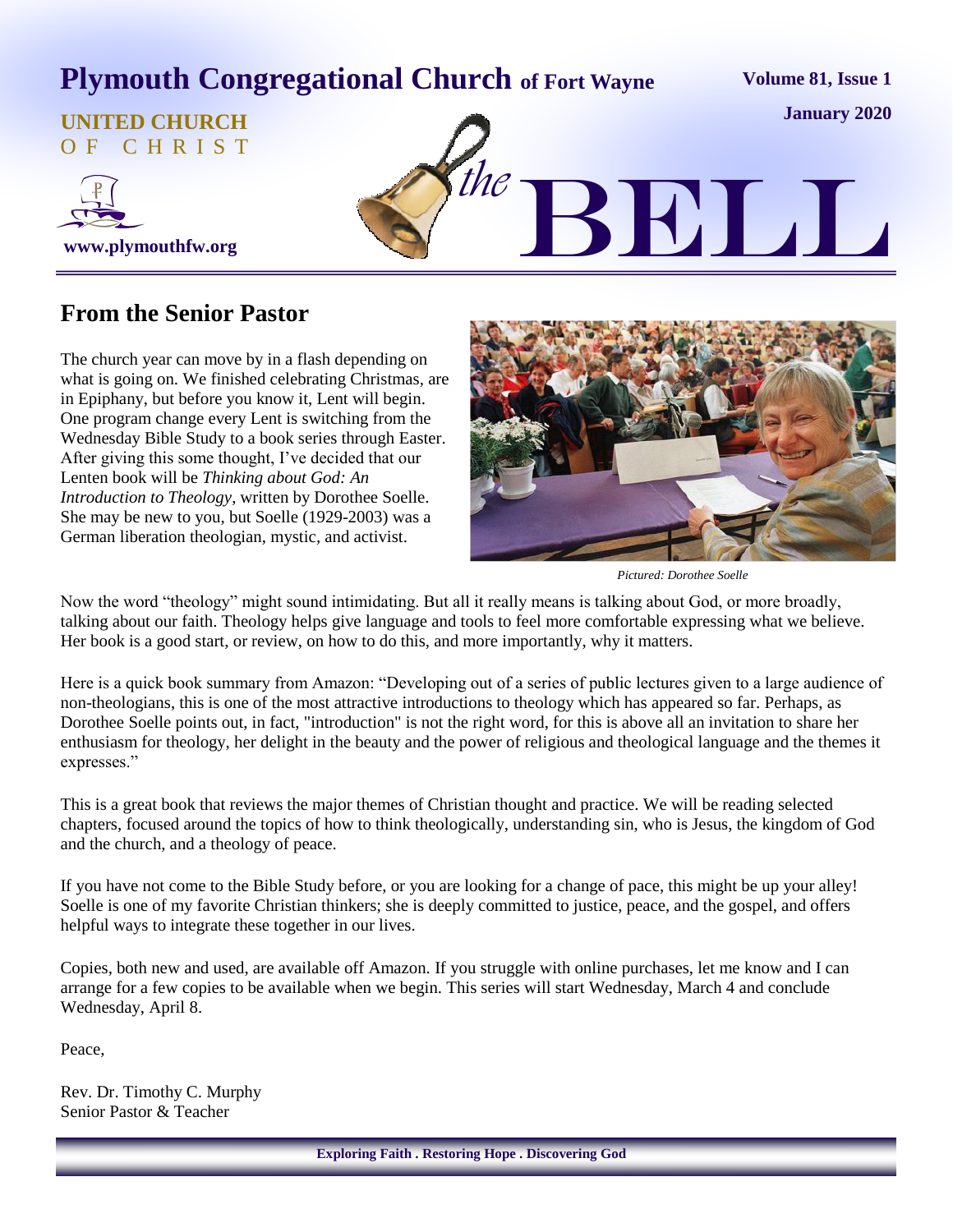# **Plymouth Congregational Church of Fort Wayne**

**Volume 81, Issue 1**

#### **UNITED CHURCH** O F C H R I S T





### **From the Senior Pastor**

The church year can move by in a flash depending on what is going on. We finished celebrating Christmas, are in Epiphany, but before you know it, Lent will begin. One program change every Lent is switching from the Wednesday Bible Study to a book series through Easter. After giving this some thought, I've decided that our Lenten book will be *Thinking about God: An Introduction to Theology*, written by Dorothee Soelle. She may be new to you, but Soelle (1929-2003) was a German liberation theologian, mystic, and activist.



*Pictured: Dorothee Soelle*

Now the word "theology" might sound intimidating. But all it really means is talking about God, or more broadly, talking about our faith. Theology helps give language and tools to feel more comfortable expressing what we believe. Her book is a good start, or review, on how to do this, and more importantly, why it matters.

Here is a quick book summary from Amazon: "Developing out of a series of public lectures given to a large audience of non-theologians, this is one of the most attractive introductions to theology which has appeared so far. Perhaps, as Dorothee Soelle points out, in fact, "introduction" is not the right word, for this is above all an invitation to share her enthusiasm for theology, her delight in the beauty and the power of religious and theological language and the themes it expresses."

This is a great book that reviews the major themes of Christian thought and practice. We will be reading selected chapters, focused around the topics of how to think theologically, understanding sin, who is Jesus, the kingdom of God and the church, and a theology of peace.

If you have not come to the Bible Study before, or you are looking for a change of pace, this might be up your alley! Soelle is one of my favorite Christian thinkers; she is deeply committed to justice, peace, and the gospel, and offers helpful ways to integrate these together in our lives.

Copies, both new and used, are available off Amazon. If you struggle with online purchases, let me know and I can arrange for a few copies to be available when we begin. This series will start Wednesday, March 4 and conclude Wednesday, April 8.

Peace,

Rev. Dr. Timothy C. Murphy Senior Pastor & Teacher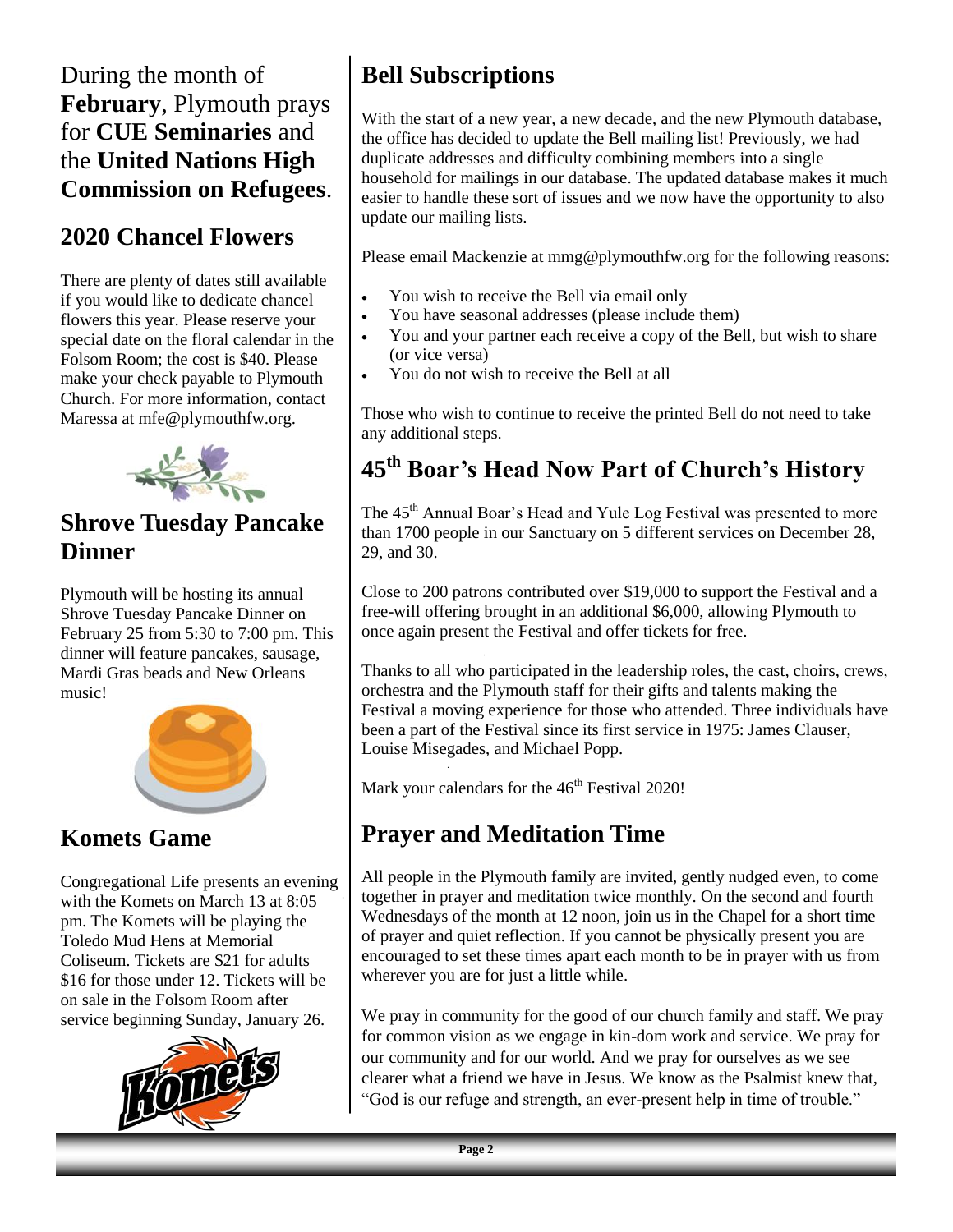# During the month of **February**, Plymouth prays for **CUE Seminaries** and the **United Nations High Commission on Refugees**.

# **2020 Chancel Flowers**

There are plenty of dates still available if you would like to dedicate chancel flowers this year. Please reserve your special date on the floral calendar in the Folsom Room; the cost is \$40. Please make your check payable to Plymouth Church. For more information, contact Maressa at mfe@plymouthfw.org.



# **Shrove Tuesday Pancake Dinner**

Plymouth will be hosting its annual Shrove Tuesday Pancake Dinner on February 25 from 5:30 to 7:00 pm. This dinner will feature pancakes, sausage, Mardi Gras beads and New Orleans music!



# **Komets Game**

Congregational Life presents an evening with the Komets on March 13 at 8:05 pm. The Komets will be playing the Toledo Mud Hens at Memorial Coliseum. Tickets are \$21 for adults \$16 for those under 12. Tickets will be on sale in the Folsom Room after service beginning Sunday, January 26.



# **Bell Subscriptions**

With the start of a new year, a new decade, and the new Plymouth database, the office has decided to update the Bell mailing list! Previously, we had duplicate addresses and difficulty combining members into a single household for mailings in our database. The updated database makes it much easier to handle these sort of issues and we now have the opportunity to also update our mailing lists.

Please email Mackenzie at mmg@plymouthfw.org for the following reasons:

- You wish to receive the Bell via email only
- You have seasonal addresses (please include them)
- You and your partner each receive a copy of the Bell, but wish to share (or vice versa)
- You do not wish to receive the Bell at all

Those who wish to continue to receive the printed Bell do not need to take any additional steps.

# **45th Boar's Head Now Part of Church's History**

The 45<sup>th</sup> Annual Boar's Head and Yule Log Festival was presented to more than 1700 people in our Sanctuary on 5 different services on December 28, 29, and 30.

Close to 200 patrons contributed over \$19,000 to support the Festival and a free-will offering brought in an additional \$6,000, allowing Plymouth to once again present the Festival and offer tickets for free.

Thanks to all who participated in the leadership roles, the cast, choirs, crews, orchestra and the Plymouth staff for their gifts and talents making the Festival a moving experience for those who attended. Three individuals have been a part of the Festival since its first service in 1975: James Clauser, Louise Misegades, and Michael Popp.

Mark your calendars for the 46<sup>th</sup> Festival 2020!

# **Prayer and Meditation Time**

All people in the Plymouth family are invited, gently nudged even*,* to come together in prayer and meditation twice monthly. On the second and fourth Wednesdays of the month at 12 noon, join us in the Chapel for a short time of prayer and quiet reflection. If you cannot be physically present you are encouraged to set these times apart each month to be in prayer with us from wherever you are for just a little while.

We pray in community for the good of our church family and staff. We pray for common vision as we engage in kin-dom work and service. We pray for our community and for our world. And we pray for ourselves as we see clearer what a friend we have in Jesus. We know as the Psalmist knew that, "God is our refuge and strength, an ever-present help in time of trouble."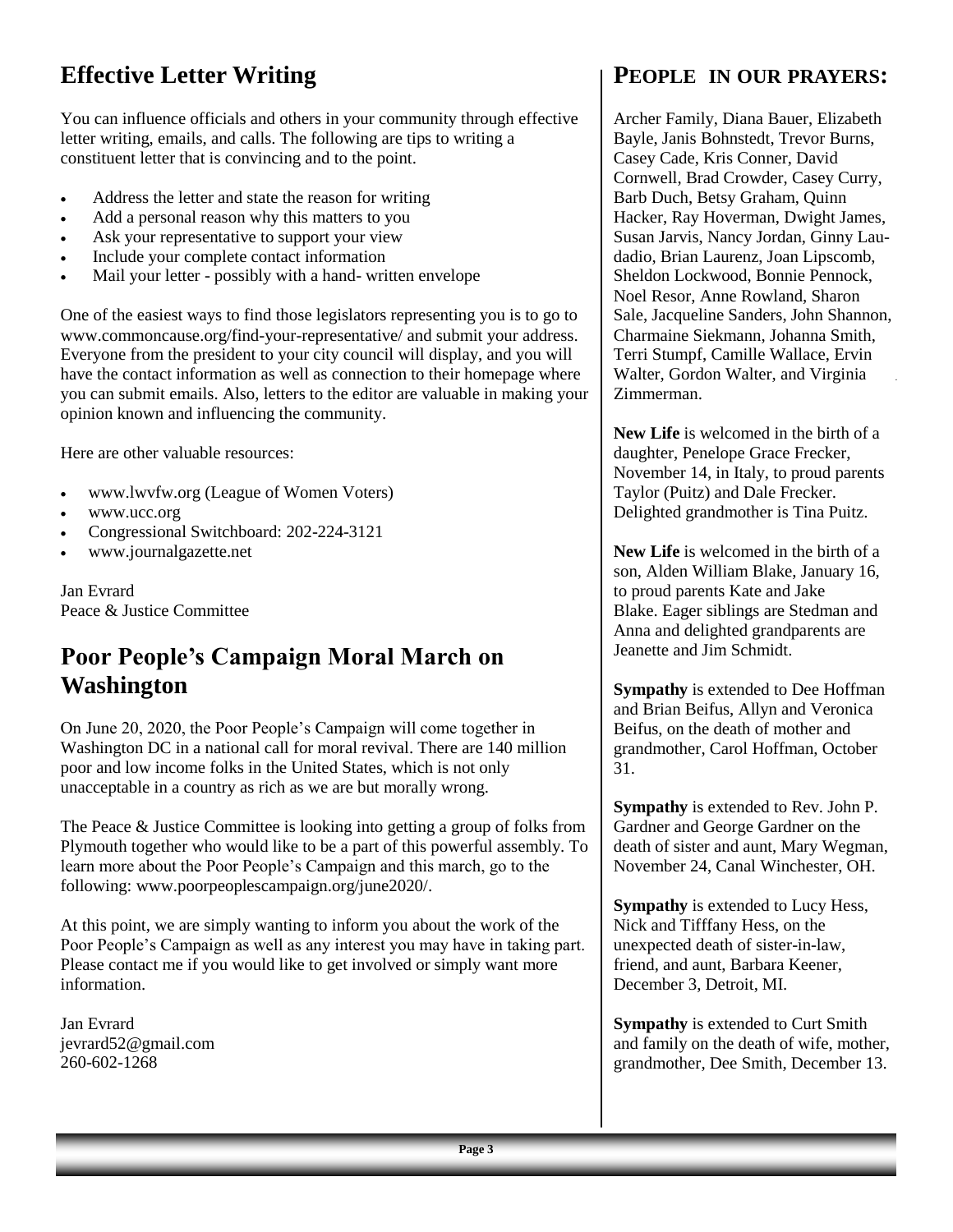# **Effective Letter Writing**

You can influence officials and others in your community through effective letter writing, emails, and calls. The following are tips to writing a constituent letter that is convincing and to the point.

- Address the letter and state the reason for writing
- Add a personal reason why this matters to you
- Ask your representative to support your view
- Include your complete contact information
- Mail your letter possibly with a hand- written envelope

One of the easiest ways to find those legislators representing you is to go to [www.commoncause.org/find-your-representative/ a](http://www.commoncause.org/find-your-representative/)nd submit your address. Everyone from the president to your city council will display, and you will have the contact information as well as connection to their homepage where you can submit emails. Also, letters to the editor are valuable in making your opinion known and influencing the community.

Here are other valuable resources:

- [www.lwvfw.org \(](http://www.lwvfw.org)League of Women Voters)
- [www.ucc.org](http://www.ucc.org)
- Congressional Switchboard: 202-224-3121
- [www.journalgazette.net](http://www.journalgazette.new)

Jan Evrard Peace & Justice Committee

## **Poor People's Campaign Moral March on Washington**

On June 20, 2020, the Poor People's Campaign will come together in Washington DC in a national call for moral revival. There are 140 million poor and low income folks in the United States, which is not only unacceptable in a country as rich as we are but morally wrong.

The Peace & Justice Committee is looking into getting a group of folks from Plymouth together who would like to be a part of this powerful assembly. To learn more about the Poor People's Campaign and this march, go to the following: [www.poorpeoplescampaign.org/june2020/.](http://www.poorpeoplescampaign.org/june2020/)

At this point, we are simply wanting to inform you about the work of the Poor People's Campaign as well as any interest you may have in taking part. Please contact me if you would like to get involved or simply want more information.

Jan Evrard [jevrard52@gmail.com](mailto:jevrard52@gmail.com) 260-602-1268

#### **PEOPLE IN OUR PRAYERS:**

Archer Family, Diana Bauer, Elizabeth Bayle, Janis Bohnstedt, Trevor Burns, Casey Cade, Kris Conner, David Cornwell, Brad Crowder, Casey Curry, Barb Duch, Betsy Graham, Quinn Hacker, Ray Hoverman, Dwight James, Susan Jarvis, Nancy Jordan, Ginny Laudadio, Brian Laurenz, Joan Lipscomb, Sheldon Lockwood, Bonnie Pennock, Noel Resor, Anne Rowland, Sharon Sale, Jacqueline Sanders, John Shannon, Charmaine Siekmann, Johanna Smith, Terri Stumpf, Camille Wallace, Ervin Walter, Gordon Walter, and Virginia Zimmerman.

**New Life** is welcomed in the birth of a daughter, Penelope Grace Frecker, November 14, in Italy, to proud parents Taylor (Puitz) and Dale Frecker. Delighted grandmother is Tina Puitz.

**New Life** is welcomed in the birth of a son, Alden William Blake, January 16, to proud parents Kate and Jake Blake. Eager siblings are Stedman and Anna and delighted grandparents are Jeanette and Jim Schmidt.

**Sympathy** is extended to Dee Hoffman and Brian Beifus, Allyn and Veronica Beifus, on the death of mother and grandmother, Carol Hoffman, October 31.

**Sympathy** is extended to Rev. John P. Gardner and George Gardner on the death of sister and aunt, Mary Wegman, November 24, Canal Winchester, OH.

**Sympathy** is extended to Lucy Hess, Nick and Tifffany Hess, on the unexpected death of sister-in-law, friend, and aunt, Barbara Keener, December 3, Detroit, MI.

**Sympathy** is extended to Curt Smith and family on the death of wife, mother, grandmother, Dee Smith, December 13.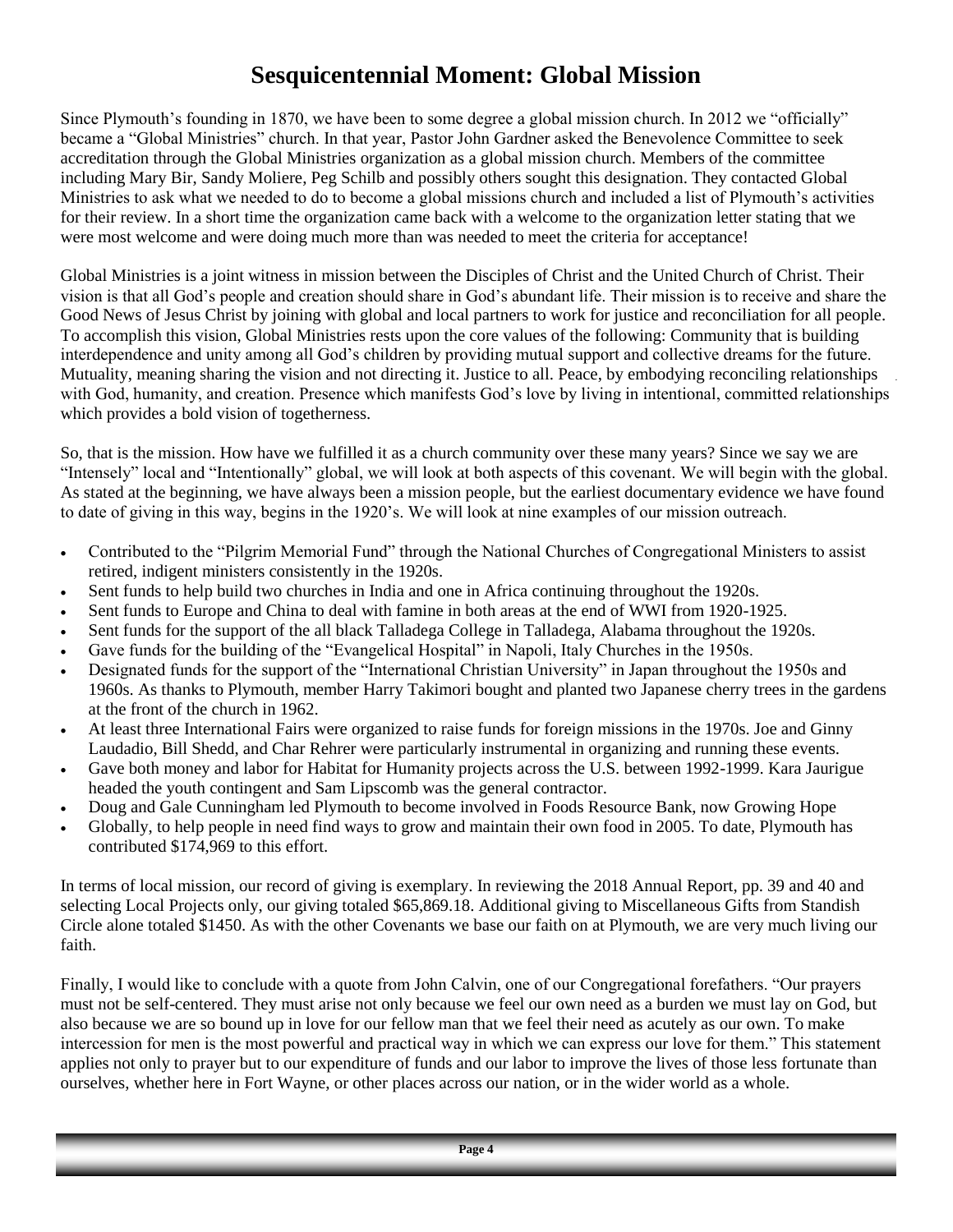# **Sesquicentennial Moment: Global Mission**

Since Plymouth's founding in 1870, we have been to some degree a global mission church. In 2012 we "officially" became a "Global Ministries" church. In that year, Pastor John Gardner asked the Benevolence Committee to seek accreditation through the Global Ministries organization as a global mission church. Members of the committee including Mary Bir, Sandy Moliere, Peg Schilb and possibly others sought this designation. They contacted Global Ministries to ask what we needed to do to become a global missions church and included a list of Plymouth's activities for their review. In a short time the organization came back with a welcome to the organization letter stating that we were most welcome and were doing much more than was needed to meet the criteria for acceptance!

Global Ministries is a joint witness in mission between the Disciples of Christ and the United Church of Christ. Their vision is that all God's people and creation should share in God's abundant life. Their mission is to receive and share the Good News of Jesus Christ by joining with global and local partners to work for justice and reconciliation for all people. To accomplish this vision, Global Ministries rests upon the core values of the following: Community that is building interdependence and unity among all God's children by providing mutual support and collective dreams for the future. Mutuality, meaning sharing the vision and not directing it. Justice to all. Peace, by embodying reconciling relationships with God, humanity, and creation. Presence which manifests God's love by living in intentional, committed relationships which provides a bold vision of togetherness.

So, that is the mission. How have we fulfilled it as a church community over these many years? Since we say we are "Intensely" local and "Intentionally" global, we will look at both aspects of this covenant. We will begin with the global. As stated at the beginning, we have always been a mission people, but the earliest documentary evidence we have found to date of giving in this way, begins in the 1920's. We will look at nine examples of our mission outreach.

- Contributed to the "Pilgrim Memorial Fund" through the National Churches of Congregational Ministers to assist retired, indigent ministers consistently in the 1920s.
- Sent funds to help build two churches in India and one in Africa continuing throughout the 1920s.
- Sent funds to Europe and China to deal with famine in both areas at the end of WWI from 1920-1925.
- Sent funds for the support of the all black Talladega College in Talladega, Alabama throughout the 1920s.
- Gave funds for the building of the "Evangelical Hospital" in Napoli, Italy Churches in the 1950s.
- Designated funds for the support of the "International Christian University" in Japan throughout the 1950s and 1960s. As thanks to Plymouth, member Harry Takimori bought and planted two Japanese cherry trees in the gardens at the front of the church in 1962.
- At least three International Fairs were organized to raise funds for foreign missions in the 1970s. Joe and Ginny Laudadio, Bill Shedd, and Char Rehrer were particularly instrumental in organizing and running these events.
- Gave both money and labor for Habitat for Humanity projects across the U.S. between 1992-1999. Kara Jaurigue headed the youth contingent and Sam Lipscomb was the general contractor.
- Doug and Gale Cunningham led Plymouth to become involved in Foods Resource Bank, now Growing Hope
- Globally, to help people in need find ways to grow and maintain their own food in 2005. To date, Plymouth has contributed \$174,969 to this effort.

In terms of local mission, our record of giving is exemplary. In reviewing the 2018 Annual Report, pp. 39 and 40 and selecting Local Projects only, our giving totaled \$65,869.18. Additional giving to Miscellaneous Gifts from Standish Circle alone totaled \$1450. As with the other Covenants we base our faith on at Plymouth, we are very much living our faith.

Finally, I would like to conclude with a quote from John Calvin, one of our Congregational forefathers. "Our prayers must not be self-centered. They must arise not only because we feel our own need as a burden we must lay on God, but also because we are so bound up in love for our fellow man that we feel their need as acutely as our own. To make intercession for men is the most powerful and practical way in which we can express our love for them." This statement applies not only to prayer but to our expenditure of funds and our labor to improve the lives of those less fortunate than ourselves, whether here in Fort Wayne, or other places across our nation, or in the wider world as a whole.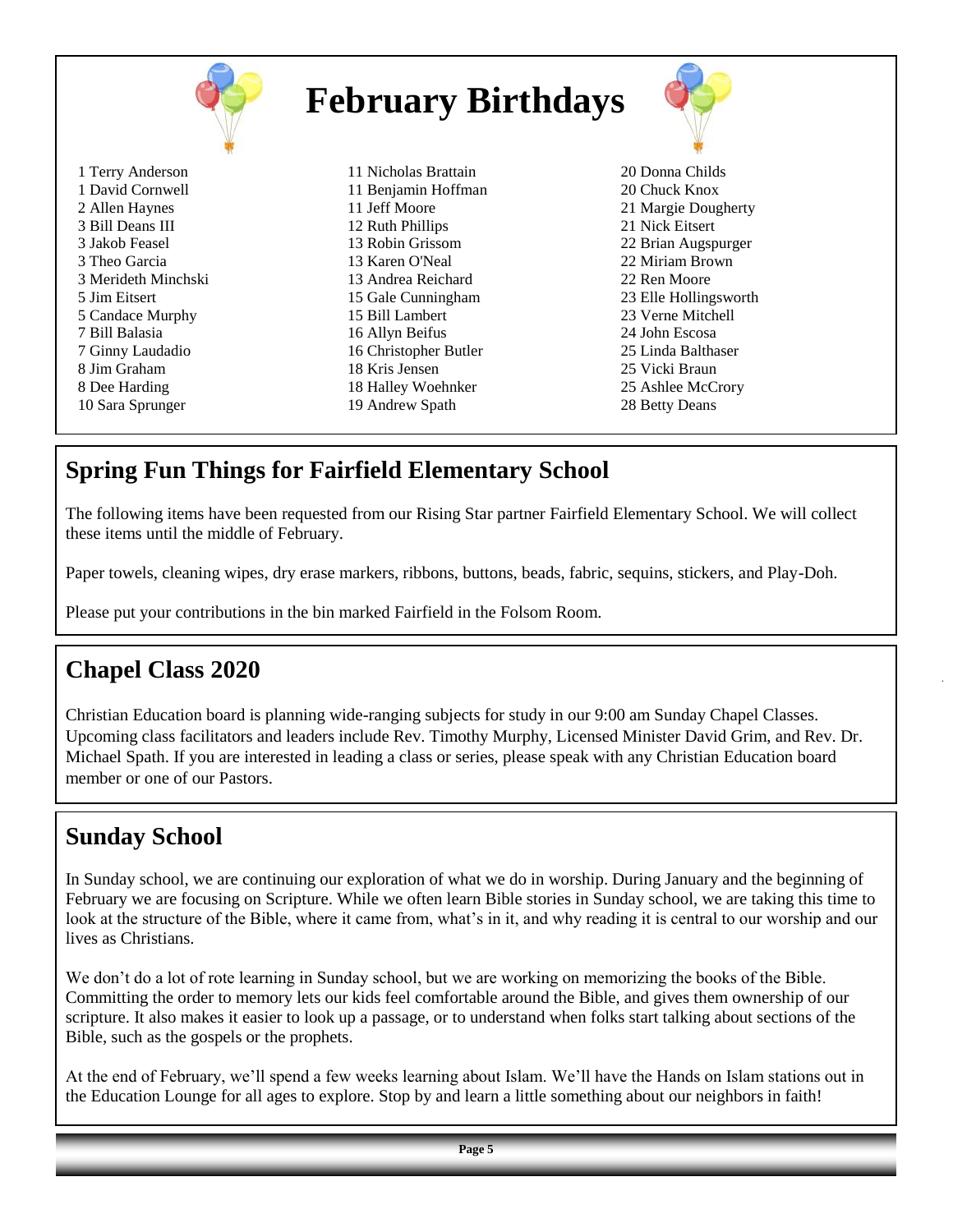| <b>February Birthdays</b> |                       |                       |
|---------------------------|-----------------------|-----------------------|
| 1 Terry Anderson          | 11 Nicholas Brattain  | 20 Donna Childs       |
| 1 David Cornwell          | 11 Benjamin Hoffman   | 20 Chuck Knox         |
| 2 Allen Haynes            | 11 Jeff Moore         | 21 Margie Dougherty   |
| 3 Bill Deans III          | 12 Ruth Phillips      | 21 Nick Eitsert       |
| 3 Jakob Feasel            | 13 Robin Grissom      | 22 Brian Augspurger   |
| 3 Theo Garcia             | 13 Karen O'Neal       | 22 Miriam Brown       |
| 3 Merideth Minchski       | 13 Andrea Reichard    | 22 Ren Moore          |
| 5 Jim Eitsert             | 15 Gale Cunningham    | 23 Elle Hollingsworth |
| 5 Candace Murphy          | 15 Bill Lambert       | 23 Verne Mitchell     |
| 7 Bill Balasia            | 16 Allyn Beifus       | 24 John Escosa        |
| 7 Ginny Laudadio          | 16 Christopher Butler | 25 Linda Balthaser    |
| 8 Jim Graham              | 18 Kris Jensen        | 25 Vicki Braun        |
| 8 Dee Harding             | 18 Halley Woehnker    | 25 Ashlee McCrory     |
| 10 Sara Sprunger          | 19 Andrew Spath       | 28 Betty Deans        |

# **Spring Fun Things for Fairfield Elementary School**

The following items have been requested from our Rising Star partner Fairfield Elementary School. We will collect these items until the middle of February.

Paper towels, cleaning wipes, dry erase markers, ribbons, buttons, beads, fabric, sequins, stickers, and Play-Doh.

Please put your contributions in the bin marked Fairfield in the Folsom Room.

## **Chapel Class 2020**

Christian Education board is planning wide-ranging subjects for study in our 9:00 am Sunday Chapel Classes. Upcoming class facilitators and leaders include Rev. Timothy Murphy, Licensed Minister David Grim, and Rev. Dr. Michael Spath. If you are interested in leading a class or series, please speak with any Christian Education board member or one of our Pastors.

## **Sunday School**

In Sunday school, we are continuing our exploration of what we do in worship. During January and the beginning of February we are focusing on Scripture. While we often learn Bible stories in Sunday school, we are taking this time to look at the structure of the Bible, where it came from, what's in it, and why reading it is central to our worship and our lives as Christians.

We don't do a lot of rote learning in Sunday school, but we are working on memorizing the books of the Bible. Committing the order to memory lets our kids feel comfortable around the Bible, and gives them ownership of our scripture. It also makes it easier to look up a passage, or to understand when folks start talking about sections of the Bible, such as the gospels or the prophets.

At the end of February, we'll spend a few weeks learning about Islam. We'll have the Hands on Islam stations out in the Education Lounge for all ages to explore. Stop by and learn a little something about our neighbors in faith!